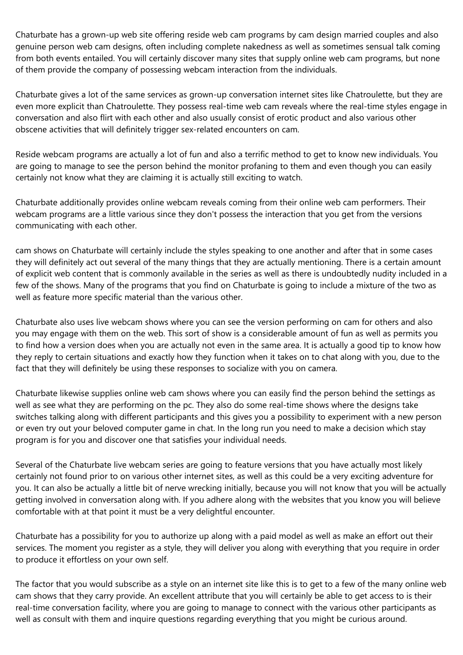Chaturbate has a grown-up web site offering reside web cam programs by cam design married couples and also genuine person web cam designs, often including complete nakedness as well as sometimes sensual talk coming from both events entailed. You will certainly discover many sites that supply online web cam programs, but none of them provide the company of possessing webcam interaction from the individuals.

Chaturbate gives a lot of the same services as grown-up conversation internet sites like Chatroulette, but they are even more explicit than Chatroulette. They possess real-time web cam reveals where the real-time styles engage in conversation and also flirt with each other and also usually consist of erotic product and also various other obscene activities that will definitely trigger sex-related encounters on cam.

Reside webcam programs are actually a lot of fun and also a terrific method to get to know new individuals. You are going to manage to see the person behind the monitor profaning to them and even though you can easily certainly not know what they are claiming it is actually still exciting to watch.

Chaturbate additionally provides online webcam reveals coming from their online web cam performers. Their webcam programs are a little various since they don't possess the interaction that you get from the versions communicating with each other.

cam shows on Chaturbate will certainly include the styles speaking to one another and after that in some cases they will definitely act out several of the many things that they are actually mentioning. There is a certain amount of explicit web content that is commonly available in the series as well as there is undoubtedly nudity included in a few of the shows. Many of the programs that you find on Chaturbate is going to include a mixture of the two as well as feature more specific material than the various other.

Chaturbate also uses live webcam shows where you can see the version performing on cam for others and also you may engage with them on the web. This sort of show is a considerable amount of fun as well as permits you to find how a version does when you are actually not even in the same area. It is actually a good tip to know how they reply to certain situations and exactly how they function when it takes on to chat along with you, due to the fact that they will definitely be using these responses to socialize with you on camera.

Chaturbate likewise supplies online web cam shows where you can easily find the person behind the settings as well as see what they are performing on the pc. They also do some real-time shows where the designs take switches talking along with different participants and this gives you a possibility to experiment with a new person or even try out your beloved computer game in chat. In the long run you need to make a decision which stay program is for you and discover one that satisfies your individual needs.

Several of the Chaturbate live webcam series are going to feature versions that you have actually most likely certainly not found prior to on various other internet sites, as well as this could be a very exciting adventure for you. It can also be actually a little bit of nerve wrecking initially, because you will not know that you will be actually getting involved in conversation along with. If you adhere along with the websites that you know you will believe comfortable with at that point it must be a very delightful encounter.

Chaturbate has a possibility for you to authorize up along with a paid model as well as make an effort out their services. The moment you register as a style, they will deliver you along with everything that you require in order to produce it effortless on your own self.

The factor that you would subscribe as a style on an internet site like this is to get to a few of the many online web cam shows that they carry provide. An excellent attribute that you will certainly be able to get access to is their real-time conversation facility, where you are going to manage to connect with the various other participants as well as consult with them and inquire questions regarding everything that you might be curious around.